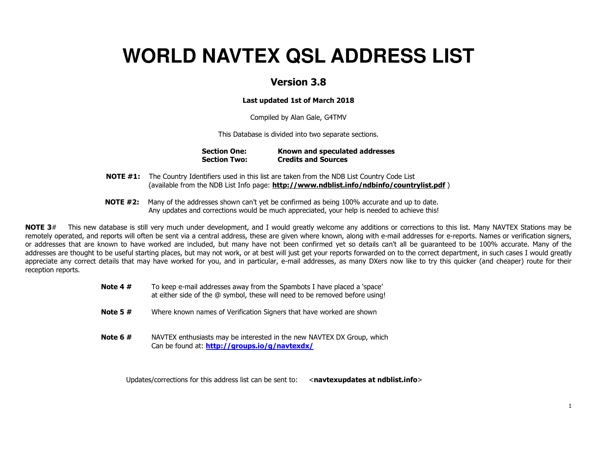# **WORLD NAVTEX QSL ADDRESS LIST**

### Version 3.8

### Last updated 1st of March 2018

Compiled by Alan Gale, G4TMV

This Database is divided into two separate sections.

| <b>Section One:</b> | Known and speculated addresses |
|---------------------|--------------------------------|
| <b>Section Two:</b> | <b>Credits and Sources</b>     |

- **NOTE #1:** The Country Identifiers used in this list are taken from the NDB List Country Code List (available from the NDB List Info page: http://www.ndblist.info/ndbinfo/countrylist.pdf)
- **NOTE #2:** Many of the addresses shown can't yet be confirmed as being 100% accurate and up to date. Any updates and corrections would be much appreciated, your help is needed to achieve this!

NOTE 3# This new database is still very much under development, and I would greatly welcome any additions or corrections to this list. Many NAVTEX Stations may be remotely operated, and reports will often be sent via a central address, these are given where known, along with e-mail addresses for e-reports. Names or verification signers, or addresses that are known to have worked are included, but many have not been confirmed yet so details can't all be guaranteed to be 100% accurate. Many of the addresses are thought to be useful starting places, but may not work, or at best will just get your reports forwarded on to the correct department, in such cases I would greatly appreciate any correct details that may have worked for you, and in particular, e-mail addresses, as many DXers now like to try this quicker (and cheaper) route for their reception reports.

| Note 4 $#$ | To keep e-mail addresses away from the Spambots I have placed a 'space'<br>at either side of the @ symbol, these will need to be removed before using! |
|------------|--------------------------------------------------------------------------------------------------------------------------------------------------------|
| Note 5 $#$ | Where known names of Verification Signers that have worked are shown                                                                                   |
| Note 6 $#$ | NAVTEX enthusiasts may be interested in the new NAVTEX DX Group, which<br>Can be found at: http://groups.io/g/navtexdx/                                |

Updates/corrections for this address list can be sent to:  $\alpha$  <navtexupdates at ndblist.info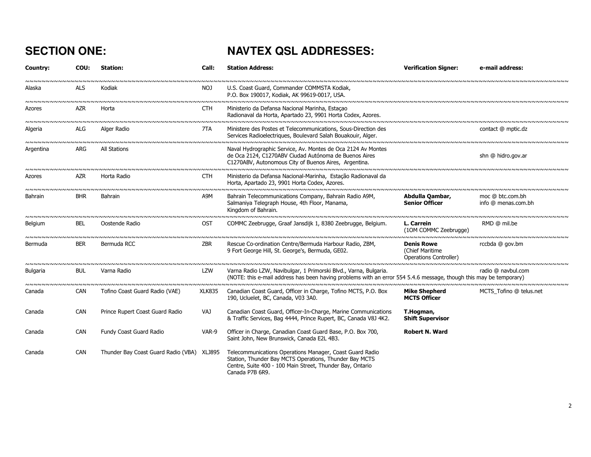## SECTION ONE: NAVTEX QSL ADDRESSES:

| Country:                            | COU:       | <b>Station:</b>                      | Call:         | <b>Station Address:</b>                                                                                                                                                                            | <b>Verification Signer:</b>                                    | e-mail address:                               |
|-------------------------------------|------------|--------------------------------------|---------------|----------------------------------------------------------------------------------------------------------------------------------------------------------------------------------------------------|----------------------------------------------------------------|-----------------------------------------------|
| Alaska                              | ALS        | Kodiak                               | NOJ           | U.S. Coast Guard, Commander COMMSTA Kodiak,<br>P.O. Box 190017, Kodiak, AK 99619-0017, USA.                                                                                                        |                                                                |                                               |
| NNNNNNNNNNNNNNNN<br>Azores          | <b>AZR</b> | Horta                                | CTH           | Ministerio da Defansa Nacional Marinha, Estacao<br>Radionaval da Horta, Apartado 23, 9901 Horta Codex, Azores.                                                                                     |                                                                |                                               |
| Algeria                             | <b>ALG</b> | Alger Radio                          | 7TA           | Ministere des Postes et Telecommunications, Sous-Direction des<br>Services Radioelectriques, Boulevard Salah Bouakouir, Alger.                                                                     |                                                                | contact @ mptic.dz                            |
| Argentina                           | ARG        | All Stations                         |               | Naval Hydrographic Service, Av. Montes de Oca 2124 Av Montes<br>de Oca 2124, C1270ABV Ciudad Autónoma de Buenos Aires<br>C1270ABV, Autonomous City of Buenos Aires, Argentina.                     |                                                                | shn @ hidro.gov.ar                            |
| Azores                              | <b>AZR</b> | Horta Radio                          | <b>CTH</b>    | Ministerio da Defansa Nacional-Marinha, Estação Radionaval da<br>Horta, Apartado 23, 9901 Horta Codex, Azores.                                                                                     |                                                                | <u>ຆຆຆຆຆຆຆຆຆຆຆຆຆຆຆຆຆຆຆຆ</u>                   |
| Bahrain                             | <b>BHR</b> | Bahrain                              | A9M           | Bahrain Telecommunications Company, Bahrain Radio A9M,<br>Salmaniya Telegraph House, 4th Floor, Manama,<br>Kingdom of Bahrain.                                                                     | Abdulla Qambar,<br><b>Senior Officer</b>                       | moc @ btc.com.bh<br>info @ menas.com.bh       |
| <b>Belgium</b>                      | BEL        | Oostende Radio                       | OST           | COMMC Zeebrugge, Graaf Jansdijk 1, 8380 Zeebrugge, Belgium.                                                                                                                                        | L. Carrein<br>(10M COMMC Zeebrugge)                            | RMD @ mil.be                                  |
| Bermuda                             | <b>BER</b> | Bermuda RCC                          | <b>ZBR</b>    | Rescue Co-ordination Centre/Bermuda Harbour Radio, ZBM,<br>9 Fort George Hill, St. George's, Bermuda, GE02.                                                                                        | <b>Denis Rowe</b><br>(Chief Maritime<br>Operations Controller) | rccbda @ gov.bm                               |
| Bulgaria<br><u>NNNNNNNNNNNNNNNN</u> | <b>BUL</b> | Varna Radio<br><b>NNNNNNNNNNNNNN</b> | LZW           | Varna Radio LZW, Navibulgar, 1 Primorski Blvd., Varna, Bulgaria.<br>(NOTE: this e-mail address has been having problems with an error 554 5.4.6 message, though this may be temporary)             |                                                                | , ~~~~~~~~~~~~~~~~~~~~~<br>radio @ navbul.com |
| Canada                              | <b>CAN</b> | Tofino Coast Guard Radio (VAE)       | <b>XLK835</b> | Canadian Coast Guard, Officer in Charge, Tofino MCTS, P.O. Box<br>190, Ucluelet, BC, Canada, V03 3A0.                                                                                              | <b>Mike Shepherd</b><br><b>MCTS Officer</b>                    | MCTS Tofino @ telus.net                       |
| Canada                              | <b>CAN</b> | Prince Rupert Coast Guard Radio      | VAJ           | Canadian Coast Guard, Officer-In-Charge, Marine Communications<br>& Traffic Services, Bag 4444, Prince Rupert, BC, Canada V8J 4K2.                                                                 | T.Hogman,<br><b>Shift Supervisor</b>                           |                                               |
| Canada                              | CAN        | Fundy Coast Guard Radio              | VAR-9         | Officer in Charge, Canadian Coast Guard Base, P.O. Box 700,<br>Saint John, New Brunswick, Canada E2L 4B3.                                                                                          | <b>Robert N. Ward</b>                                          |                                               |
| Canada                              | <b>CAN</b> | Thunder Bay Coast Guard Radio (VBA)  | XLJ895        | Telecommunications Operations Manager, Coast Guard Radio<br>Station, Thunder Bay MCTS Operations, Thunder Bay MCTS<br>Centre, Suite 400 - 100 Main Street, Thunder Bay, Ontario<br>Canada P7B 6R9. |                                                                |                                               |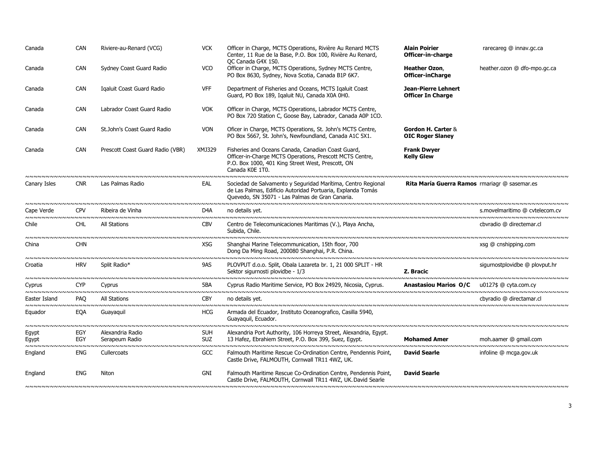| Canada                                  | <b>CAN</b> | Riviere-au-Renard (VCG)                                              | <b>VCK</b>               | Officer in Charge, MCTS Operations, Rivière Au Renard MCTS<br>Center, 11 Rue de la Base, P.O. Box 100, Rivière Au Renard,<br>OC Canada G4X 1S0.                                        | <b>Alain Poirier</b><br>Officer-in-charge                                 | rarecareg @ innav.gc.ca        |
|-----------------------------------------|------------|----------------------------------------------------------------------|--------------------------|----------------------------------------------------------------------------------------------------------------------------------------------------------------------------------------|---------------------------------------------------------------------------|--------------------------------|
| Canada                                  | <b>CAN</b> | Sydney Coast Guard Radio                                             | <b>VCO</b>               | Officer in Charge, MCTS Operations, Sydney MCTS Centre,<br>PO Box 8630, Sydney, Nova Scotia, Canada B1P 6K7.                                                                           | Heather Ozon,<br><b>Officer-inCharge</b>                                  | heather.ozon @ dfo-mpo.gc.ca   |
| Canada                                  | <b>CAN</b> | Igaluit Coast Guard Radio                                            | <b>VFF</b>               | Department of Fisheries and Oceans, MCTS Igaluit Coast<br>Guard, PO Box 189, Igaluit NU, Canada X0A 0H0.                                                                               | <b>Jean-Pierre Lehnert</b><br><b>Officer In Charge</b>                    |                                |
| Canada                                  | <b>CAN</b> | Labrador Coast Guard Radio                                           | <b>VOK</b>               | Officer in Charge, MCTS Operations, Labrador MCTS Centre,<br>PO Box 720 Station C, Goose Bay, Labrador, Canada A0P 1CO.                                                                |                                                                           |                                |
| Canada                                  | CAN        | St.John's Coast Guard Radio                                          | <b>VON</b>               | Oficer in Charge, MCTS Operations, St. John's MCTS Centre,<br>PO Box 5667, St. John's, Newfoundland, Canada A1C 5X1.                                                                   | Gordon H. Carter &<br><b>OIC Roger Slaney</b>                             |                                |
| Canada                                  | <b>CAN</b> | Prescott Coast Guard Radio (VBR)<br>~~~~~~~~~~~~~~~~~~~~~~~~~~~~~~~~ | XMJ329                   | Fisheries and Oceans Canada, Canadian Coast Guard,<br>Officer-in-Charge MCTS Operations, Prescott MCTS Centre,<br>P.O. Box 1000, 401 King Street West, Prescott, ON<br>Canada K0E 1T0. | <b>Frank Dwyer</b><br><b>Kelly Glew</b><br>wwwwwwwwwwwwwwwwwwwwwwwwwwwwww |                                |
| Canary Isles                            | <b>CNR</b> | Las Palmas Radio                                                     | EAL                      | Sociedad de Salvamento y Seguridad Marítima, Centro Regional<br>de Las Palmas, Edificio Autoridad Portuaria, Explanda Tomás<br>Quevedo, SN 35071 - Las Palmas de Gran Canaria.         | <b>Rita María Guerra Ramos</b> rmariagr @ sasemar.es                      |                                |
| Cape Verde                              | <b>CPV</b> | Ribeira de Vinha                                                     | D4A                      | no details yet.                                                                                                                                                                        |                                                                           | s.movelmaritimo @ cvtelecom.cv |
| Chile                                   | <b>CHL</b> | <b>All Stations</b>                                                  | <b>CBV</b>               | Centro de Telecomunicaciones Maritimas (V.), Playa Ancha,<br>Subida, Chile.                                                                                                            |                                                                           | cbvradio @ directemar.cl       |
| China                                   | <b>CHN</b> |                                                                      | <b>XSG</b>               | Shanghai Marine Telecommunication, 15th floor, 700<br>Dong Da Ming Road, 200080 Shanghai, P.R. China.                                                                                  |                                                                           | xsg @ cnshipping.com           |
| Croatia                                 | <b>HRV</b> | Split Radio*                                                         | 9AS                      | PLOVPUT d.o.o. Split, Obala Lazareta br. 1, 21 000 SPLIT - HR<br>Sektor sigurnosti plovidbe - 1/3                                                                                      | Z. Bracic                                                                 | sigurnostplovidbe @ plovput.hr |
| Cyprus                                  | <b>CYP</b> | Cyprus                                                               | 5BA                      | Cyprus Radio Maritime Service, PO Box 24929, Nicosia, Cyprus.                                                                                                                          | <b>Anastasiou Marios O/C</b>                                              | u0127\$ @ cyta.com.cy          |
| Easter Island                           | <b>PAO</b> | All Stations                                                         | <b>CBY</b>               | no details vet.                                                                                                                                                                        |                                                                           | cbyradio @ directamar.cl       |
| Equador                                 | EQA        | Guayaquil                                                            | <b>HCG</b>               | Armada del Ecuador, Instituto Oceanografico, Casilla 5940,<br>Guayaquil, Ecuador.                                                                                                      |                                                                           |                                |
| Egypt<br>Egypt<br><b>NNNNNNNNNNNNNN</b> | EGY<br>EGY | Alexandria Radio<br>Serapeum Radio                                   | <b>SUH</b><br><b>SUZ</b> | Alexandria Port Authority, 106 Horreya Street, Alexandria, Egypt.<br>13 Hafez, Ebrahiem Street, P.O. Box 399, Suez, Egypt.                                                             | <b>Mohamed Amer</b>                                                       | moh.aamer @ qmail.com          |
| England                                 | ENG        | Cullercoats                                                          | GCC                      | Falmouth Maritime Rescue Co-Ordination Centre, Pendennis Point,<br>Castle Drive, FALMOUTH, Cornwall TR11 4WZ, UK.                                                                      | <b>David Searle</b>                                                       | infoline @ mcga.gov.uk         |
| England                                 | <b>ENG</b> | Niton                                                                | GNI                      | Falmouth Maritime Rescue Co-Ordination Centre, Pendennis Point,<br>Castle Drive, FALMOUTH, Cornwall TR11 4WZ, UK. David Searle                                                         | <b>David Searle</b>                                                       |                                |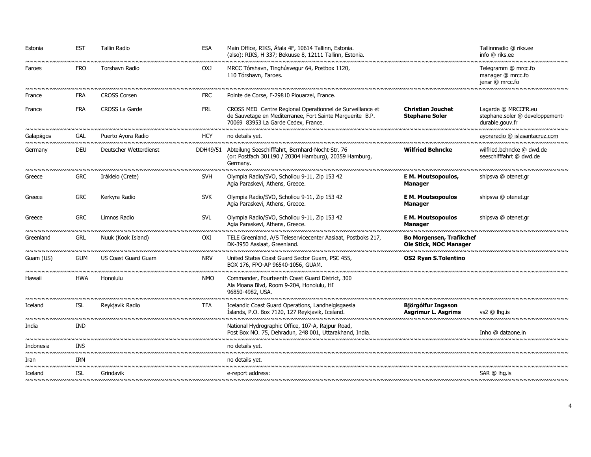| Estonia<br><b>NNNNNNNNNN</b>       | <b>EST</b> | Tallin Radio<br>๛๛๛๛๛๛๛๛๛๛๛๛๛๛๛๛๛๛๛๛๛๛๛๛๛๛๛๛๛๛             | <b>ESA</b>                 | Main Office, RIKS, Äfala 4F, 10614 Tallinn, Estonia.<br>(also): RIKS, H 337; Bekuuse 8, 12111 Tallinn, Estonia.                                               |                                                           | Tallinnradio @ riks.ee<br>info @ riks.ee<br><b>NNNNNNNNNNNNNNNNNNNNN</b>                    |
|------------------------------------|------------|------------------------------------------------------------|----------------------------|---------------------------------------------------------------------------------------------------------------------------------------------------------------|-----------------------------------------------------------|---------------------------------------------------------------------------------------------|
| Faroes                             | <b>FRO</b> | Torshavn Radio<br>๛๛๛๛๛๛๛๛๛๛๛๛๛๛๛๛๛๛๛๛๛๛๛๛๛๛๛๛๛๛๛๛๛๛๛๛๛๛   | OX <sub>J</sub>            | MRCC Tórshavn, Tinghúsvegur 64, Postbox 1120,<br>110 Tórshavn, Faroes.                                                                                        |                                                           | Telegramm @ mrcc.fo<br>manager @ mrcc.fo<br>jensr @ mrcc.fo<br><b>INNNNNNNNNNNNNNNNNNNN</b> |
| France                             | <b>FRA</b> | <b>CROSS Corsen</b>                                        | <b>FRC</b>                 | Pointe de Corse, F-29810 Plouarzel, France.                                                                                                                   |                                                           |                                                                                             |
| France                             | <b>FRA</b> | CROSS La Garde<br>nnnnnnnnnnnnnnnnnnnnnnnnnnnnnnnnn        | <b>FRL</b>                 | CROSS MED Centre Regional Operationnel de Surveillance et<br>de Sauvetage en Mediterranee, Fort Sainte Marguerite B.P.<br>70069 83953 La Garde Cedex, France. | <b>Christian Jouchet</b><br><b>Stephane Soler</b>         | Lagarde @ MRCCFR.eu<br>stephane.soler @ developpement-<br>durable.gouv.fr                   |
| Galapágos                          | GAL        | Puerto Ayora Radio                                         | HCY                        | no details yet.                                                                                                                                               |                                                           | ayoraradio @ islasantacruz.com                                                              |
| Germany                            | <b>DEU</b> | Deutscher Wetterdienst                                     |                            | DDH49/51 Abteilung Seeschifffahrt, Bernhard-Nocht-Str. 76<br>(or: Postfach 301190 / 20304 Hamburg), 20359 Hamburg,<br>Germany.                                | <b>Wilfried Behncke</b>                                   | wilfried.behncke @ dwd.de<br>seeschifffahrt @ dwd.de                                        |
| Greece                             | <b>GRC</b> | Irákleio (Crete)                                           | <b>SVH</b>                 | Olympia Radio/SVO, Scholiou 9-11, Zip 153 42<br>Agia Paraskevi, Athens, Greece.                                                                               | E M. Moutsopoulos,<br><b>Manager</b>                      | <b>NNNNNNNNNNNNNNNNNNNNN</b><br>shipsva @ otenet.gr                                         |
| Greece                             | <b>GRC</b> | Kerkyra Radio                                              | <b>SVK</b>                 | Olympia Radio/SVO, Scholiou 9-11, Zip 153 42<br>Agia Paraskevi, Athens, Greece.                                                                               | <b>E M. Moutsopoulos</b><br><b>Manager</b>                | shipsva @ otenet.gr                                                                         |
| Greece<br><b>NNNNNNNNNNNNNNNNN</b> | <b>GRC</b> | Limnos Radio<br>wwwwwwwwwwwwwwwwwwwwwwwwww                 | <b>SVL</b>                 | Olympia Radio/SVO, Scholiou 9-11, Zip 153 42<br>Agia Paraskevi, Athens, Greece.                                                                               | <b>E M. Moutsopoulos</b><br><b>Manager</b>                | shipsva @ otenet.gr                                                                         |
| Greenland                          | <b>GRL</b> | Nuuk (Kook Island)<br>~~~~~~~~~~~~~~~~~~~~~~~~~~~~~~~~~~~~ | <b>OXI</b>                 | TELE Greenland, A/S Teleservicecenter Aasiaat, Postboks 217,<br>DK-3950 Aasiaat, Greenland.                                                                   | <b>Bo Morgensen, Trafikchef</b><br>Ole Stick, NOC Manager |                                                                                             |
| Guam (US)                          | <b>GUM</b> | <b>US Coast Guard Guam</b>                                 | <b>NRV</b><br><b>NNNNN</b> | United States Coast Guard Sector Guam, PSC 455,<br>BOX 176, FPO-AP 96540-1056, GUAM.                                                                          | <b>OS2 Ryan S.Tolentino</b>                               |                                                                                             |
| Hawaii                             | <b>HWA</b> | Honolulu                                                   | <b>NMO</b>                 | Commander, Fourteenth Coast Guard District, 300<br>Ala Moana Blvd, Room 9-204, Honolulu, HI<br>96850-4982, USA.                                               |                                                           |                                                                                             |
| Iceland                            | ISL        | Reykjavik Radio                                            | TFA                        | Icelandic Coast Guard Operations, Landhelgisgaesla<br>Islands, P.O. Box 7120, 127 Reykjavik, Iceland.                                                         | Björgólfur Ingason<br>Asgrimur L. Asgrims                 | $vs2 \ @$ lha.is                                                                            |
| India                              | <b>IND</b> |                                                            |                            | National Hydrographic Office, 107-A, Rajpur Road,<br>Post Box NO. 75, Dehradun, 248 001, Uttarakhand, India.                                                  |                                                           | Inho @ dataone.in                                                                           |
| Indonesia                          | <b>TNS</b> |                                                            |                            | no details vet.                                                                                                                                               |                                                           |                                                                                             |
| Iran                               | IRN        |                                                            |                            | no details yet.                                                                                                                                               |                                                           |                                                                                             |
| Iceland                            | <b>ISL</b> | Grindavik                                                  |                            | e-report address:                                                                                                                                             |                                                           | SAR @ lha.is                                                                                |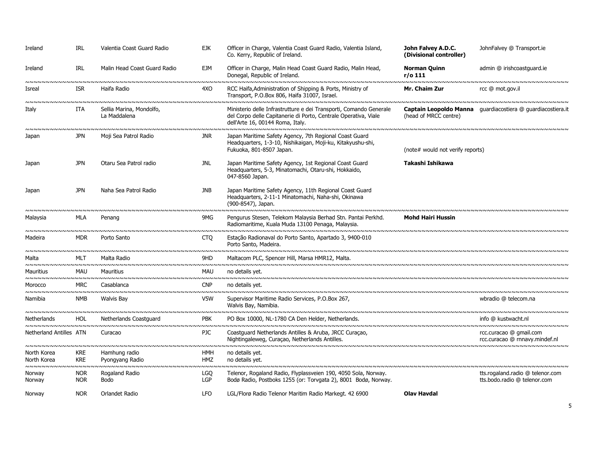| Ireland                                          | <b>IRL</b>               | Valentia Coast Guard Radio                            | <b>EJK</b>                     | Officer in Charge, Valentia Coast Guard Radio, Valentia Island,<br>Co. Kerry, Republic of Ireland.                                                                        | John Falvey A.D.C.<br>(Divisional controller) | JohnFalvey @ Transport.ie                                                             |
|--------------------------------------------------|--------------------------|-------------------------------------------------------|--------------------------------|---------------------------------------------------------------------------------------------------------------------------------------------------------------------------|-----------------------------------------------|---------------------------------------------------------------------------------------|
| Ireland                                          | <b>IRL</b>               | Malin Head Coast Guard Radio                          | <b>EJM</b>                     | Officer in Charge, Malin Head Coast Guard Radio, Malin Head,<br>Donegal, Republic of Ireland.                                                                             | <b>Norman Quinn</b><br>r/o 111                | admin @ irishcoastquard.ie                                                            |
| <b>NNNNNNNNNNN</b><br>Isreal                     | <b>ISR</b>               | <u>NNNNNNNNNNNNNNNNNNNNNNNNNNNNNNN</u><br>Haifa Radio | <b>VNNN</b><br>4X <sub>O</sub> | RCC Haifa, Administration of Shipping & Ports, Ministry of<br>Transport, P.O.Box 806, Haifa 31007, Israel.                                                                | Mr. Chaim Zur                                 | vwwwwwwwwwwwwwwwwwwwwwwwwwwwwwwww<br>rcc @ mot.gov.il                                 |
| Italy                                            | ITA                      | Sellia Marina, Mondolfo,<br>La Maddalena              |                                | Ministerio delle Infrastrutture e dei Transporti, Comando Generale<br>del Corpo delle Capitanerie di Porto, Centrale Operativa, Viale<br>dell'Arte 16, 00144 Roma, Italy. | (head of MRCC centre)                         | Captain Leopoldo Manna quardiacostiera @ quardiacostiera.it                           |
| Japan                                            | <b>JPN</b>               | <u>NNNNNNNNNNNNNNNNNN</u><br>Moji Sea Patrol Radio    | <b>JNR</b>                     | Japan Maritime Safety Agency, 7th Regional Coast Guard<br>Headquarters, 1-3-10, Nishikaigan, Moji-ku, Kitakyushu-shi,<br>Fukuoka, 801-8507 Japan.                         | (note# would not verify reports)              |                                                                                       |
| Japan                                            | <b>JPN</b>               | Otaru Sea Patrol radio                                | <b>JNL</b>                     | Japan Maritime Safety Agency, 1st Regional Coast Guard<br>Headquarters, 5-3, Minatomachi, Otaru-shi, Hokkaido,<br>047-8560 Japan.                                         | Takashi Ishikawa                              |                                                                                       |
| Japan<br><b>NNNNNNNNNN</b>                       | <b>JPN</b>               | Naha Sea Patrol Radio                                 | <b>JNB</b>                     | Japan Maritime Safety Agency, 11th Regional Coast Guard<br>Headquarters, 2-11-1 Minatomachi, Naha-shi, Okinawa<br>(900-8547), Japan.                                      |                                               |                                                                                       |
| Malaysia                                         | MLA                      | Penang                                                | 9MG                            | Pengurus Stesen, Telekom Malaysia Berhad Stn. Pantai Perkhd.<br>Radiomaritime, Kuala Muda 13100 Penaga, Malaysia.                                                         | <b>Mohd Hairi Hussin</b>                      |                                                                                       |
| Madeira                                          | <b>MDR</b>               | Porto Santo                                           | CTO                            | Estação Radionaval do Porto Santo, Apartado 3, 9400-010<br>Porto Santo, Madeira.                                                                                          |                                               |                                                                                       |
| Malta                                            | MLT                      | Malta Radio                                           | 9HD                            | Maltacom PLC, Spencer Hill, Marsa HMR12, Malta.                                                                                                                           |                                               |                                                                                       |
| Mauritius                                        | <b>MAU</b>               | Mauritius                                             | <b>MAU</b>                     | no details yet.                                                                                                                                                           |                                               |                                                                                       |
| Morocco                                          | <b>MRC</b>               | Casablanca                                            | <b>CNP</b>                     | no details vet.                                                                                                                                                           |                                               |                                                                                       |
| Namibia                                          | NMB                      | Walvis Bay                                            | V5W                            | Supervisor Maritime Radio Services, P.O.Box 267,<br>Walvis Bay, Namibia.                                                                                                  |                                               | wbradio @ telecom.na                                                                  |
| <b>Netherlands</b>                               | <b>HOL</b>               | Netherlands Coastguard                                | <b>PBK</b>                     | PO Box 10000, NL-1780 CA Den Helder, Netherlands.                                                                                                                         |                                               | info @ kustwacht.nl                                                                   |
| Netherland Antilles ATN                          |                          | Curacao                                               | <b>PJC</b><br><b>NNNNN</b>     | Coastguard Netherlands Antilles & Aruba, JRCC Curação,<br>Nightingaleweg, Curaçao, Netherlands Antilles.                                                                  |                                               | rcc.curacao @ gmail.com<br>rcc.curacao @ rnnavy.mindef.nl<br><u>NNNNNNNNNNNNNNNNN</u> |
| North Korea<br>North Korea<br><b>NNNNNNNNNNN</b> | <b>KRE</b><br><b>KRE</b> | Hamhung radio<br>Pyongyang Radio                      | <b>HMH</b><br><b>HMZ</b>       | no details yet.<br>no details vet.                                                                                                                                        |                                               | ,,,,,,,,,,,,,,,,,,,,,,,,,,,,,,                                                        |
| Norway<br>Norway                                 | <b>NOR</b><br><b>NOR</b> | Rogaland Radio<br><b>Bodo</b>                         | <b>LGQ</b><br><b>LGP</b>       | Telenor, Rogaland Radio, Flyplassveien 190, 4050 Sola, Norway.<br>Bodø Radio, Postboks 1255 (or: Torvgata 2), 8001 Bodø, Norway.                                          |                                               | tts.rogaland.radio @ telenor.com<br>tts.bodo.radio @ telenor.com                      |
| Norway                                           | <b>NOR</b>               | Orlandet Radio                                        | <b>LFO</b>                     | LGL/Florø Radio Telenor Maritim Radio Markegt. 42 6900                                                                                                                    | <b>Olav Havdal</b>                            |                                                                                       |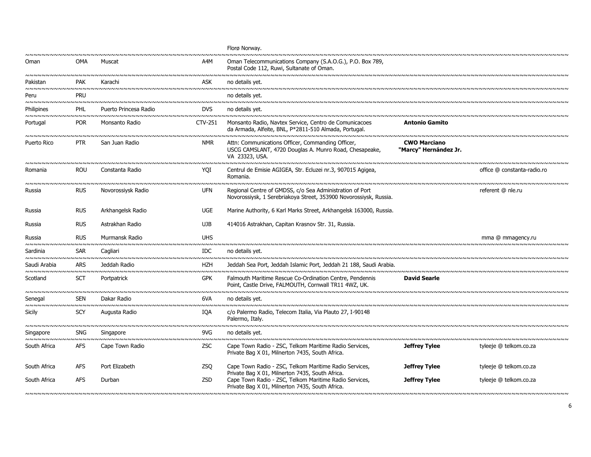|                              |                             |                                                             |            | Florø Norway.                                                                                                                                                |                                              |                             |
|------------------------------|-----------------------------|-------------------------------------------------------------|------------|--------------------------------------------------------------------------------------------------------------------------------------------------------------|----------------------------------------------|-----------------------------|
| Oman                         | OMA                         | Muscat                                                      | A4M        | Oman Telecommunications Company (S.A.O.G.), P.O. Box 789,<br>Postal Code 112, Ruwi, Sultanate of Oman.                                                       |                                              |                             |
| Pakistan                     | <b>PAK</b>                  | Karachi                                                     | <b>ASK</b> | no details yet.                                                                                                                                              |                                              |                             |
| Peru                         | PRU                         |                                                             |            | no details yet.                                                                                                                                              |                                              |                             |
| Philipines                   | PHL                         | Puerto Princesa Radio                                       | <b>DVS</b> | no details yet.                                                                                                                                              |                                              |                             |
| Portugal                     | <b>POR</b>                  | Monsanto Radio                                              | CTV-251    | Monsanto Radio, Navtex Service, Centro de Comunicacoes<br>da Armada, Alfeite, BNL, P*2811-510 Almada, Portugal.                                              | <b>Antonio Gamito</b>                        |                             |
| Puerto Rico                  | <b>PTR</b>                  | San Juan Radio                                              | <b>NMR</b> | Attn: Communications Officer, Commanding Officer,<br>USCG CAMSLANT, 4720 Douglas A. Munro Road, Chesapeake,<br>VA 23323, USA.                                | <b>CWO Marciano</b><br>"Marcy" Hernández Jr. |                             |
| Romania<br><b>NNNNNNNNNN</b> | <b>ROU</b><br><b>VNNNNN</b> | Constanta Radio<br><u>NNNNNNNNNNNNNNNNNNNNNNNNNNNNNNNNN</u> | YOI        | Centrul de Emisie AGIGEA, Str. Ecluzei nr.3, 907015 Agigea,<br>Romania.                                                                                      |                                              | office @ constanta-radio.ro |
| Russia                       | <b>RUS</b>                  | Novorossiysk Radio                                          | <b>UFN</b> | Regional Centre of GMDSS, c/o Sea Administration of Port<br>Novorossiysk, 1 Serebriakoya Street, 353900 Novorossiysk, Russia.                                |                                              | referent @ nle.ru           |
| Russia                       | <b>RUS</b>                  | Arkhangelsk Radio                                           | <b>UGE</b> | Marine Authority, 6 Karl Marks Street, Arkhangelsk 163000, Russia.                                                                                           |                                              |                             |
| Russia                       | <b>RUS</b>                  | Astrakhan Radio                                             | UJB        | 414016 Astrakhan, Capitan Krasnov Str. 31, Russia.                                                                                                           |                                              |                             |
| Russia<br><b>NNNNNNNNNNN</b> | <b>RUS</b>                  | Murmansk Radio<br>~~~~~~~~~~~~~~~~~~~~~~~~~~~~~~            | <b>UHS</b> |                                                                                                                                                              |                                              | mma @ mmagency.ru           |
| Sardinia                     | <b>SAR</b>                  | Cagliari                                                    | IDC.       | no details yet.                                                                                                                                              |                                              |                             |
| Saudi Arabia                 | <b>ARS</b>                  | Jeddah Radio                                                | HZH        | Jeddah Sea Port, Jeddah Islamic Port, Jeddah 21 188, Saudi Arabia.                                                                                           |                                              |                             |
| Scotland                     | <b>SCT</b>                  | Portpatrick                                                 | <b>GPK</b> | Falmouth Maritime Rescue Co-Ordination Centre, Pendennis<br>Point, Castle Drive, FALMOUTH, Cornwall TR11 4WZ, UK.                                            | <b>David Searle</b>                          |                             |
| Senegal                      | <b>SEN</b>                  | Dakar Radio                                                 | 6VA        | no details vet.                                                                                                                                              |                                              |                             |
| Sicily                       | SCY                         | Augusta Radio                                               | IQA        | c/o Palermo Radio, Telecom Italia, Via Plauto 27, I-90148<br>Palermo, Italy.                                                                                 |                                              |                             |
| Singapore                    | <b>SNG</b>                  | Singapore                                                   | 9VG        | no details yet.                                                                                                                                              |                                              |                             |
| South Africa                 | <b>AFS</b>                  | Cape Town Radio                                             | ZSC        | Cape Town Radio - ZSC, Telkom Maritime Radio Services,<br>Private Bag X 01, Milnerton 7435, South Africa.                                                    | Jeffrey Tylee                                | tyleeje @ telkom.co.za      |
| South Africa                 | <b>AFS</b>                  | Port Elizabeth                                              | <b>ZSO</b> | Cape Town Radio - ZSC, Telkom Maritime Radio Services,                                                                                                       | <b>Jeffrey Tylee</b>                         | tyleeje @ telkom.co.za      |
| South Africa                 | AFS                         | Durban                                                      | ZSD        | Private Bag X 01, Milnerton 7435, South Africa.<br>Cape Town Radio - ZSC, Telkom Maritime Radio Services,<br>Private Bag X 01, Milnerton 7435, South Africa. | <b>Jeffrey Tylee</b>                         | tyleeje @ telkom.co.za      |
|                              |                             |                                                             |            |                                                                                                                                                              |                                              |                             |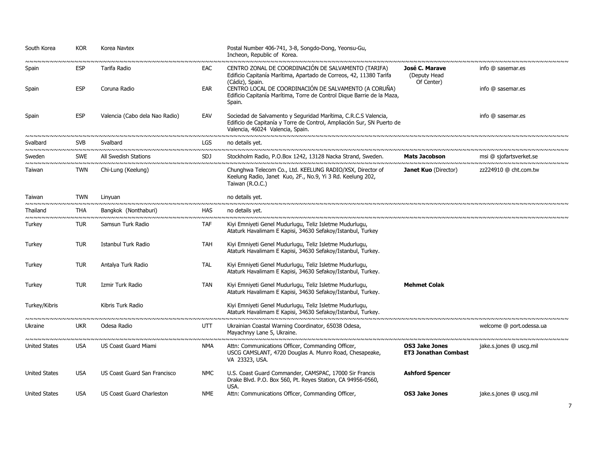| South Korea                   | <b>KOR</b> | Korea Navtex<br><u>NNNNNNNNNNNNNNNNNNNNNNNNNNNNNNNNN</u> |            | Postal Number 406-741, 3-8, Songdo-Dong, Yeonsu-Gu,<br>Incheon, Republic of Korea.                                                                                           |                                                      |                                                       |
|-------------------------------|------------|----------------------------------------------------------|------------|------------------------------------------------------------------------------------------------------------------------------------------------------------------------------|------------------------------------------------------|-------------------------------------------------------|
| nnnnnnnnnnnnnnnnn<br>Spain    | <b>ESP</b> | Tarifa Radio                                             | EAC        | CENTRO ZONAL DE COORDINACIÓN DE SALVAMENTO (TARIFA)<br>Edificio Capitanía Marítima, Apartado de Correos, 42, 11380 Tarifa                                                    | José C. Marave<br>(Deputy Head                       | info @ sasemar.es                                     |
| Spain                         | <b>ESP</b> | Coruna Radio                                             | EAR        | (Cádiz), Spain.<br>CENTRO LOCAL DE COORDINACIÓN DE SALVAMENTO (A CORUÑA)<br>Edificio Capitanía Marítima, Torre de Control Dique Barrie de la Maza,<br>Spain.                 | Of Center)                                           | info @ sasemar.es                                     |
| Spain                         | <b>ESP</b> | Valencia (Cabo dela Nao Radio)                           | EAV        | Sociedad de Salvamento y Seguridad Marítima, C.R.C.S Valencia,<br>Edificio de Capitanía y Torre de Control, Ampliación Sur, SN Puerto de<br>Valencia, 46024 Valencia, Spain. |                                                      | info @ sasemar.es                                     |
| Svalbard                      | <b>SVB</b> | Svalbard                                                 | LGS.       | no details yet.                                                                                                                                                              |                                                      |                                                       |
| Sweden                        | <b>SWE</b> | All Swedish Stations                                     | <b>SDJ</b> | Stockholm Radio, P.O.Box 1242, 13128 Nacka Strand, Sweden.                                                                                                                   | <b>Mats Jacobson</b>                                 | msi @ sjofartsverket.se                               |
| Taiwan                        | TWN        | Chi-Lung (Keelung)                                       |            | Chunghwa Telecom Co., Ltd. KEELUNG RADIO/XSX, Director of<br>Keelung Radio, Janet Kuo, 2F., No.9, Yi 3 Rd. Keelung 202,<br>Taiwan (R.O.C.)                                   | <b>Janet Kuo</b> (Director)                          | zz224910 @ cht.com.tw                                 |
| Taiwan                        | <b>TWN</b> | Linyuan                                                  |            | no details yet.                                                                                                                                                              |                                                      |                                                       |
| Thailand                      | <b>THA</b> | Bangkok (Nonthaburi)                                     | <b>HAS</b> | no details yet.                                                                                                                                                              |                                                      |                                                       |
| Turkey                        | <b>TUR</b> | Samsun Turk Radio                                        | <b>TAF</b> | Kiyi Emniyeti Genel Mudurlugu, Teliz Isletme Mudurlugu,<br>Ataturk Havalimam E Kapisi, 34630 Sefakoy/Istanbul, Turkey                                                        |                                                      |                                                       |
| Turkey                        | <b>TUR</b> | Istanbul Turk Radio                                      | <b>TAH</b> | Kiyi Emniyeti Genel Mudurlugu, Teliz Isletme Mudurlugu,<br>Ataturk Havalimam E Kapisi, 34630 Sefakoy/Istanbul, Turkey.                                                       |                                                      |                                                       |
| Turkey                        | <b>TUR</b> | Antalya Turk Radio                                       | <b>TAL</b> | Kiyi Emniyeti Genel Mudurlugu, Teliz Isletme Mudurlugu,<br>Ataturk Havalimam E Kapisi, 34630 Sefakoy/Istanbul, Turkey.                                                       |                                                      |                                                       |
| Turkey                        | <b>TUR</b> | Izmir Turk Radio                                         | <b>TAN</b> | Kiyi Emniyeti Genel Mudurlugu, Teliz Isletme Mudurlugu,<br>Ataturk Havalimam E Kapisi, 34630 Sefakoy/Istanbul, Turkey.                                                       | <b>Mehmet Colak</b>                                  |                                                       |
| Turkey/Kibris                 |            | Kibris Turk Radio                                        |            | Kiyi Emniyeti Genel Mudurlugu, Teliz Isletme Mudurlugu,<br>Ataturk Havalimam E Kapisi, 34630 Sefakoy/Istanbul, Turkey.                                                       |                                                      |                                                       |
| Ukraine<br><b>VNNNNNNNNNN</b> | <b>UKR</b> | Odesa Radio<br>~~~~~~~~~~~~~~~~~~~~~~~~~~~~~~~~          | <b>UTT</b> | Ukrainian Coastal Warning Coordinator, 65038 Odesa,<br>Mayachnyy Lane 5, Ukraine.<br>wwwwwwwwwwwwwwwwwwwwwwwwwwwwwwwww                                                       |                                                      | welcome @ port.odessa.ua<br><b>NNNNNNNNNNNNNNNNNN</b> |
| <b>United States</b>          | <b>USA</b> | US Coast Guard Miami                                     | <b>NMA</b> | Attn: Communications Officer, Commanding Officer,<br>USCG CAMSLANT, 4720 Douglas A. Munro Road, Chesapeake,<br>VA 23323, USA.                                                | <b>OS3 Jake Jones</b><br><b>ET3 Jonathan Combast</b> | jake.s.jones @ uscg.mil                               |
| <b>United States</b>          | <b>USA</b> | US Coast Guard San Francisco                             | <b>NMC</b> | U.S. Coast Guard Commander, CAMSPAC, 17000 Sir Francis<br>Drake Blvd. P.O. Box 560, Pt. Reyes Station, CA 94956-0560,<br>USA.                                                | <b>Ashford Spencer</b>                               |                                                       |
| <b>United States</b>          | <b>USA</b> | US Coast Guard Charleston                                | <b>NME</b> | Attn: Communications Officer, Commanding Officer,                                                                                                                            | <b>OS3 Jake Jones</b>                                | jake.s.jones @ uscg.mil                               |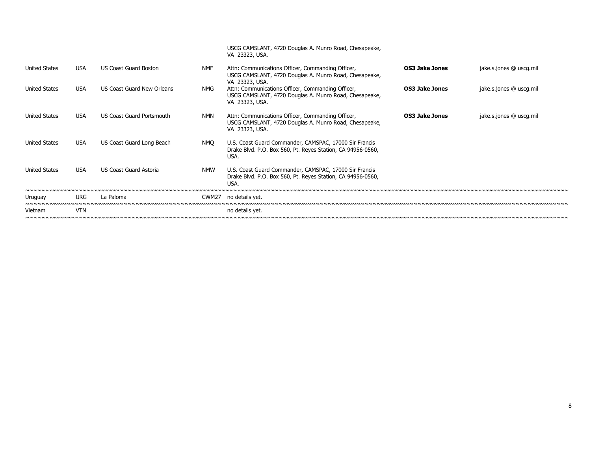|                      |            |                            |                   | USCG CAMSLANT, 4720 Douglas A. Munro Road, Chesapeake,<br>VA 23323, USA.                                                      |                       |                         |
|----------------------|------------|----------------------------|-------------------|-------------------------------------------------------------------------------------------------------------------------------|-----------------------|-------------------------|
| <b>United States</b> | <b>USA</b> | US Coast Guard Boston      | <b>NMF</b>        | Attn: Communications Officer, Commanding Officer,<br>USCG CAMSLANT, 4720 Douglas A. Munro Road, Chesapeake,<br>VA 23323, USA. | <b>OS3 Jake Jones</b> | jake.s.jones @ uscg.mil |
| <b>United States</b> | <b>USA</b> | US Coast Guard New Orleans | NMG               | Attn: Communications Officer, Commanding Officer,<br>USCG CAMSLANT, 4720 Douglas A. Munro Road, Chesapeake,<br>VA 23323, USA. | <b>OS3 Jake Jones</b> | jake.s.jones @ uscg.mil |
| <b>United States</b> | <b>USA</b> | US Coast Guard Portsmouth  | NMN               | Attn: Communications Officer, Commanding Officer,<br>USCG CAMSLANT, 4720 Douglas A. Munro Road, Chesapeake,<br>VA 23323, USA. | <b>OS3 Jake Jones</b> | jake.s.jones @ uscg.mil |
| <b>United States</b> | USA        | US Coast Guard Long Beach  | NMO               | U.S. Coast Guard Commander, CAMSPAC, 17000 Sir Francis<br>Drake Blvd. P.O. Box 560, Pt. Reyes Station, CA 94956-0560,<br>USA. |                       |                         |
| <b>United States</b> | <b>USA</b> | US Coast Guard Astoria     | <b>NMW</b>        | U.S. Coast Guard Commander, CAMSPAC, 17000 Sir Francis<br>Drake Blvd. P.O. Box 560, Pt. Reyes Station, CA 94956-0560,<br>USA. |                       |                         |
|                      |            |                            |                   |                                                                                                                               |                       |                         |
| Uruguay              | <b>URG</b> | La Paloma                  | CWM <sub>27</sub> | no details yet.                                                                                                               |                       |                         |
|                      |            |                            |                   |                                                                                                                               |                       |                         |
| Vietnam              | <b>VTN</b> |                            |                   | no details yet.                                                                                                               |                       |                         |
|                      |            |                            |                   |                                                                                                                               |                       |                         |